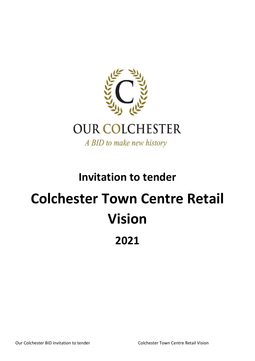

# **Invitation to tender Colchester Town Centre Retail Vision 2021**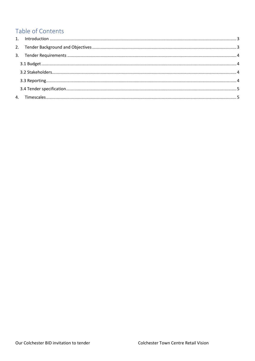## Table of Contents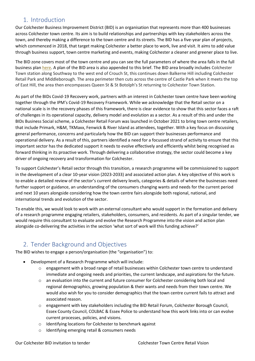## <span id="page-2-0"></span>1. Introduction

Our Colchester Business Improvement District (BID) is an organisation that represents more than 400 businesses across Colchester town centre. Its aim is to build relationships and partnerships with key stakeholders across the town, and thereby making a difference to the town centre and its streets. The BID has a five-year plan of projects, which commenced in 2018, that target making Colchester a better place to work, live and visit. It aims to add value through business support, town centre marketing and events, making Colchester a cleaner and greener place to live.

The BID zone covers most of the town centre and you can see the full parameters of where the area falls in the full business plan [here.](https://ourcolchester.co.uk/business-plan/) A plan of the BID area is also appended to this brief. The BID area broadly includes Colchester Town station along Southway to the west end of Crouch St, this continues down Balkerne Hill including Colchester Retail Park and Middleborough. The area perimeter then cuts across the centre of Castle Park when it meets the top of East Hill, the area then encompasses Queen St & St Botolph's St returning to Colchester Town Station.

As part of the BIDs Covid-19 Recovery work, partners with an interest in Colchester town centre have been working together through the IPM's Covid-19 Recovery Framework. While we acknowledge that the Retail sector on a national scale is in the recovery phases of this framework, there is clear evidence to show that this sector faces a raft of challenges in its operational capacity, delivery model and evolution as a sector. As a result of this and under the BIDs Business Social scheme, a Colchester Retail Forum was launched in October 2021 to bring town centre retailers, that include Primark, H&M, TKMaxx, Fenwick & River Island as attendees, together. With a key focus on discussing general performance, concerns and particularly how the BID can support their businesses performance and operational delivery. As a result of this, partners identified a need for a focussed strand of activity to ensure that this important sector has the dedicated support it needs to evolve effectively and efficiently whilst being recognised as forward thinking in its proactive work. Through delivering a collaborative strategy, the sector could become a key driver of ongoing recovery and transformation for Colchester.

To support Colchester's Retail sector through this transition, a research programme will be commissioned to support in the development of a clear 10-year vision (2023-2033) and associated action plan. A key objective of this work is to enable a detailed review of the sector's current delivery levels, categories & details of where the businesses need further support or guidance, an understanding of the consumers changing wants and needs for the current period and next 10 years alongside considering how the town centre fairs alongside both regional, national, and international trends and evolution of the sector.

To enable this, we would look to work with an external consultant who would support in the formation and delivery of a research programme engaging retailers, stakeholders, consumers, and residents. As part of a singular tender, we would require this consultant to evaluate and evolve the Research Programme into the vision and action plan alongside co-delivering the activities in the section 'what sort of work will this funding achieve?'

## <span id="page-2-1"></span>2. Tender Background and Objectives

The BID wishes to engage a person/organisation (the "organisation") to:

- Development of a Research Programme which will include:
	- $\circ$  engagement with a broad range of retail businesses within Colchester town centre to understand immediate and ongoing needs and priorities, the current landscape, and aspirations for the future.
	- $\circ$  an evaluation into the current and future consumer for Colchester considering both local and regional demographics, growing population & their wants and needs from their town centre. We would also wish for you to consider demographics that the town centre current fails to attract and associated reason.
	- o engagement with key stakeholders including the BID Retail Forum, Colchester Borough Council, Essex County Council, COLBAC & Essex Police to understand how this work links into or can evolve current processes, policies, and visions.
	- o Identifying locations for Colchester to benchmark against
	- o Identifying emerging retail & consumers needs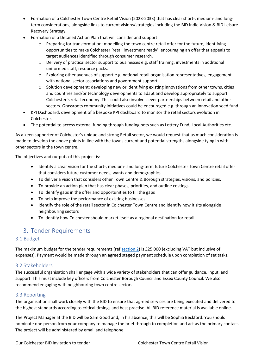- Formation of a Colchester Town Centre Retail Vision (2023-2033) that has clear short-, medium- and longterm considerations, alongside links to current visions/strategies including the BID Indie Vision & BID Leisure Recovery Strategy.
- Formation of a Detailed Action Plan that will consider and support:
	- Preparing for transformation: modelling the town centre retail offer for the future, identifying opportunities to make Colchester 'retail investment ready', encouraging an offer that appeals to target audiences identified through consumer research.
	- $\circ$  Delivery of practical sector support to businesses e.g. staff training, investments in additional uniformed staff, resource packs.
	- o Exploring other avenues of support e.g. national retail organisation representatives, engagement with national sector associations and government support.
	- $\circ$  Solution development: developing new or identifying existing innovations from other towns, cities and countries and/or technology developments to adapt and develop appropriately to support Colchester's retail economy. This could also involve clever partnerships between retail and other sectors. Grassroots community initiatives could be encouraged e.g. through an innovation seed fund.
- KPI Dashboard: development of a bespoke KPI dashboard to monitor the retail sectors evolution in Colchester.
- The potential to access external funding through funding pots such as Lottery Fund, Local Authorities etc.

As a keen supporter of Colchester's unique and strong Retail sector, we would request that as much consideration is made to develop the above points in line with the towns current and potential strengths alongside tying in with other sectors in the town centre.

The objectives and outputs of this project is:

- Identify a clear vision for the short-, medium- and long-term future Colchester Town Centre retail offer that considers future customer needs, wants and demographics.
- To deliver a vision that considers other Town Centre & Borough strategies, visions, and policies.
- To provide an action plan that has clear phases, priorities, and outline costings
- To identify gaps in the offer and opportunities to fill the gaps
- To help improve the performance of existing businesses
- Identify the role of the retail sector in Colchester Town Centre and identify how it sits alongside neighbouring sectors
- To identify how Colchester should market itself as a regional destination for retail

## <span id="page-3-0"></span>3. Tender Requirements

#### <span id="page-3-1"></span>3.1 Budget

The maximum budget for the tender requirements (re[f section 2\)](#page-2-1) is £25,000 (excluding VAT but inclusive of expenses). Payment would be made through an agreed staged payment schedule upon completion of set tasks.

#### <span id="page-3-2"></span>3.2 Stakeholders

The successful organisation shall engage with a wide variety of stakeholders that can offer guidance, input, and support. This must include key officers from Colchester Borough Council and Essex County Council. We also recommend engaging with neighbouring town centre sectors.

#### <span id="page-3-3"></span>3.3 Reporting

The organisation shall work closely with the BID to ensure that agreed services are being executed and delivered to the highest standards according to critical timings and best practise. All BID reference material is available online.

The Project Manager at the BID will be Sam Good and, in his absence, this will be Sophia Beckford. You should nominate one person from your company to manage the brief through to completion and act as the primary contact. The project will be administered by email and telephone.